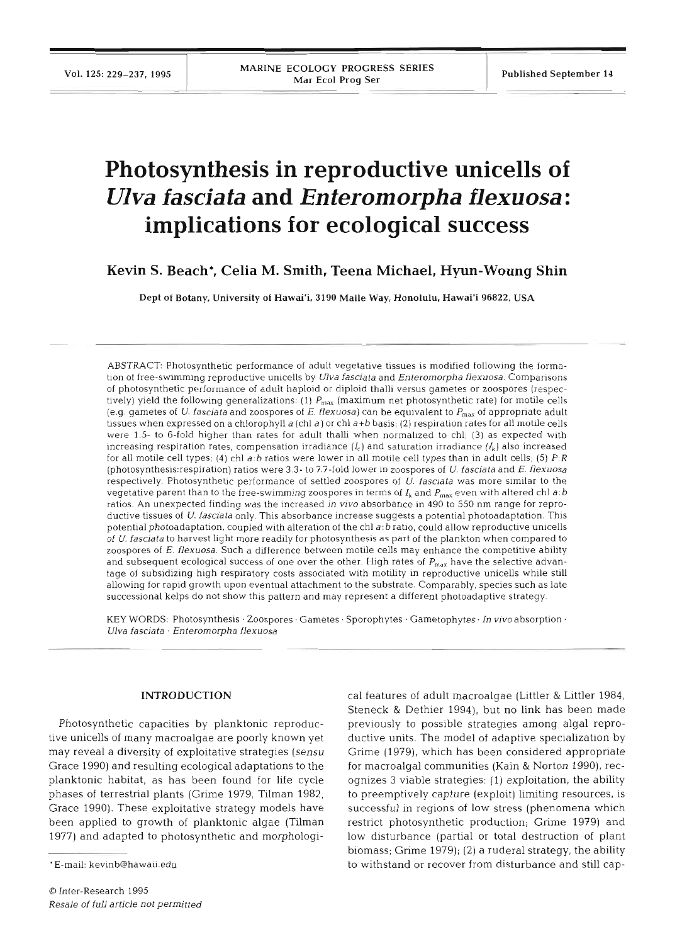# **Photosynthesis in reproductive unicells of**  *Ulva fascia ta* **and** *Enteromorpha flexuosa* : **implications for ecological success**

# **Kevin S. Beach\*, Celia M. Smith, Teena Michael, Hyun-Woung Shin**

Dept of Botany, University of Hawai'i. 3190 Maile Way, Honolulu. Hawai'i **96822,** USA

ABSTRACT: Photosynthetic performance of adult vegetative tissues is modified following the formation of free-swimming reproductive unicells by Ulva fasciata and Enteromorpha flexuosa. Comparisons of photosynthetic performance of adult haploid or diploid thalli versus gametes or zoospores (respectively) yield the following generalizations: (1)  $P_{\text{max}}$  (maximum net photosynthetic rate) for motile cells (e.g. gametes of U. fasciata and zoospores of E. flexuosa) can be equivalent to  $P_{\text{max}}$  of appropriate adult tissues when expressed on a chlorophyll a (chl a) or chl  $a+b$  basis; (2) respiration rates for all motile cells were 1.5- to 6-fold higher than rates for adult thalh when normalized to chl; **(3)** as expected with increasing respiration rates, compensation irradiance  $(I_c)$  and saturation irradiance  $(I_k)$  also increased for all motile cell types; (4) chl a:b ratios were lower in all motile cell types than in adult cells; (5)  $P:R$ (photosynthesis:respiration) ratios were 3 3- to 7.7-fold lower in zoospores of U. fasciata and E. flexuosa respectively. Photosynthetic performance of settled zoospores of U. fasciata was more similar to the vegetative parent than to the free-swimming zoospores in terms of  $I_k$  and  $P_{\text{max}}$  even with altered chl a:b ratios. An unexpected finding was the increased in vivo absorbance in 490 to 550 nm range for reproductive tissues of U. fasciata only. This absorbance increase suggests a potential photoadaptation. This potential photoadaptation, coupled with alteration of the chl a:b ratio, could allow reproductive unicells of U. fascjata to harvest light more readily for photosynthesis as part of the plankton when compared to zoospores of E. flexuosa. Such a difference between motile cells may enhance the competitive ability and subsequent ecological success of one over the other. High rates of  $P_{\text{max}}$  have the selective advantage of subsidizing high respiratory costs associated with motility in reproductive unicells while still allowing for rapid growth upon eventual attachment to the substrate. Comparably, species such as late successional kelps do not show this pattern and may represent a different photoadaptive strategy.

KEY WORDS: Photosynthesis · Zoospores · Gametes · Sporophytes · Gametophytes · In vivo absorption · Ulva fasciata · Enteromorpha flexuosa

#### **INTRODUCTION**

Photosynthetic capacities by planktonic reproductive unicells of many macroalgae are poorly known yet may reveal a diversity of exploitative strategies (sensu Grace 1990) and resulting ecological adaptations to the planktonic habitat, as has been found for life cycle phases of terrestrial plants (Grime 1979, Tilman 1982, Grace 1990). These exploitative strategy models have been applied to growth of planktonic algae (Tilman 1977) and adapted to photosynthetic and morphological features of adult macroalgae (Littler & Littler 1984,<br>Steneck & Dethier 1994), but no link has been made<br>previously to possible strategies among algal repro-<br>ductive units. The model of adaptive specialization by<br>Grim biomass; Grime 1979); (2) a ruderal strategy, the ability to withstand or recover from disturbance and still cap-

<sup>&#</sup>x27;E-mail: kevinb@hawaii.edu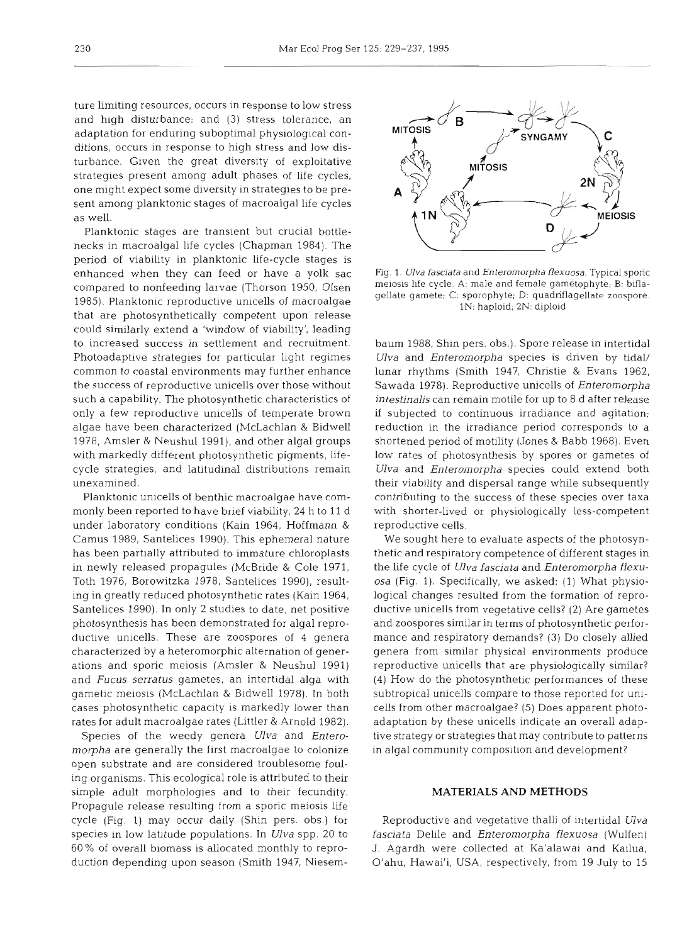ture limiting resources, occurs in response to low stress and high disturbance; and (3) stress tolerance, an adaptation for enduring suboptimal physiological conditions, occurs in response to high stress and low disturbance. Given the great diversity of exploitative strategies present among adult phases of life cycles, one might expect some diversity in strategies to be present among planktonic stages of macroalgal life cycles as well.

Planktonic stages are transient but crucial bottlenecks in macroalgal life cycles (Chapman 1984). The period of viability in planktonic life-cycle stages is enhanced when they can feed or have a yolk sac compared to nonfeeding larvae (Thorson 1950, Olsen 1985). Planktonic reproductive unicells of macroalgae that are photosynthetically competent upon release could similarly extend a 'window of viability', leading to increased success in settlement and recruitment. Photoadaptive strategies for particular light regimes common to coastal environments may further enhance the success of reproductive unicells over those without such a capability. The photosynthetic characteristics of only a few reproductive unicells of temperate brown algae have been characterized (McLachlan & Bidwell 1978, Amsler & Neushul 1991), and other algal groups with markedly different photosynthetic pigments, lifecycle strategies, and latitudinal distributions remain unexamined.

Planktonic unicells of benthic macroalgae have commonly been reported to have brief viability, 24 h to 11 d under laboratory conditions (Kain 1964, Hoffmann & Camus 1989, Santelices 1990). This ephemeral nature has been partially attributed to immature chloroplasts in newly released propagules (McBride & Cole 1971, Toth 1976, Borowitzka 1978, Santelices 1990), resulting in greatly reduced photosynthetic rates (Kain 1964, Santelices 1990). In only 2 studies to date, net positive photosynthesis has been demonstrated for algal reproductive unicells. These are zoospores of 4 genera characterized by a heteromorphic alternation of generations and sporic meiosis (Amsler & Neushul 1991) and *Fucus serratus* gametes, an intertidal alga with gametic meiosis (McLachlan & Bidwell 1978). In both cases photosynthetic capacity is markedly lower than rates for adult macroalgae rates (Littler & Arnold 1982).

Species of the weedy genera *Ulva* and *Enteromorpha* are generally the first macroalgae to colonize open substrate and are considered troublesome fouling organisms. This ecological role is attributed to their simple adult morphologies and to their fecundity. Propagule release resulting from a sporic meiosis life cycle (Fig. 1) may occur daily (Shin pers. obs.) for species in low latitude populations. In *Ulva* spp. 20 to 60% of overall biomass is allocated monthly to reproduction depending upon season (Smith 1947, Niesem-



Fig. 1. *Ulva fasciata* and *Enteromorpha flexuosa*. Typical sporic meiosis life cycle. A: male and female gametophyte; B: biflagellate gamete; C: sporophyte; D: quadriflagellate zoospore.<br>
1N: haploid; 2N: diploid<br>
Daum

Ulva and *Enteromorpha* species could extend both<br>heir viability and dispersal range while subsequently<br>contributing to the success of these species over taxa<br>with shorter-lived or physiologically less-competent<br>reproduct

## **MATERIALS AND METHODS**

Reproductive and vegetative thalli of intertidal *Ulva fasciata* Delile and *Enteromorpha flexuosa* (Wulfen) J. Agardh were collected at Ka'alawai and Kailua, O'ahu, Hawai'i, USA, respectively, from 19 July to 15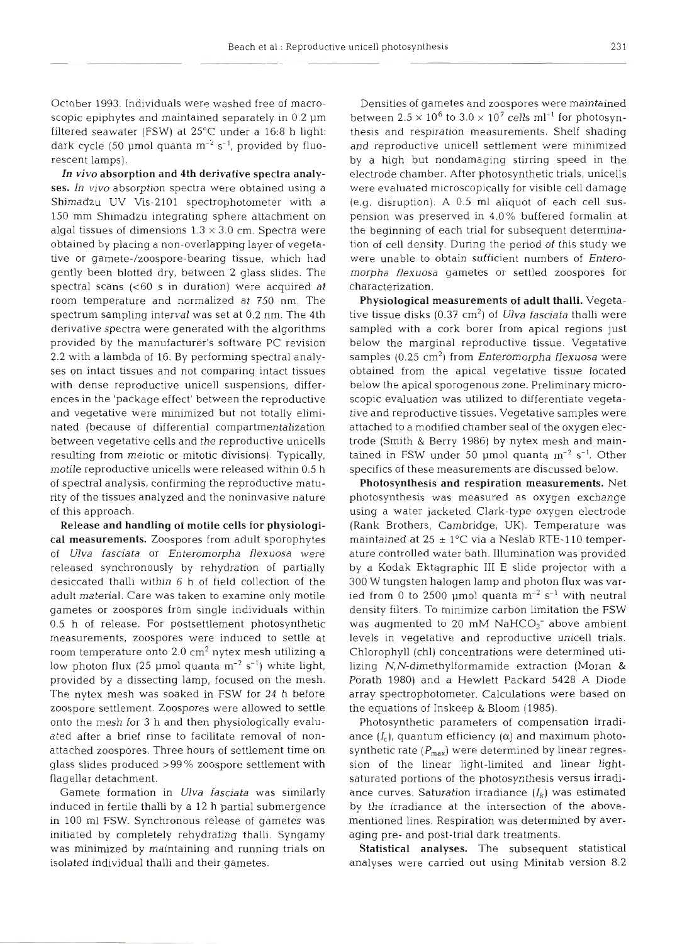October 1993. Individuals were washed free of macroscopic epiphytes and maintained separately in  $0.2 \mu m$ filtered seawater (FSW) at 25°C under a 16:8 h light: dark cycle (50 µmol quanta  $m^{-2}$  s<sup>-1</sup>, provided by fluorescent lamps).

**In vivo** absorption and 4th derivative spectra analyses. In *vivo* absorption spectra were obtained using a Shimadzu UV Vis-2101 spectrophotometer with a 150 mm Shimadzu integrating sphere attachment on algal tissues of dimensions  $1.3 \times 3.0$  cm. Spectra were obtained by placing a non-overlapping layer of vegetative or gamete-/zoospore-bearing tissue, which had gently been blotted dry, between 2 glass slides. The spectral scans (<60 s in duration) were acquired at room temperature and normalized at 750 nm. The spectrum sampling interval was set at 0.2 nm. The 4th derivative spectra were generated with the algorithms provided by the manufacturer's software PC revision 2.2 with a lambda of 16. By performing spectral analyses on intact tissues and not comparing intact tissues with dense reproductive unicell suspensions, differences in the 'package effect' between the reproductive and vegetative were minimized but not totally eliminated (because of differential compartmentalization between vegetative cells and the reproductive unicells resulting from meiotic or mitotic divisions). Typically, motile reproductive unicells were released within 0.5 h of spectral analysis, confirming the reproductive maturity of the tissues analyzed and the noninvasive nature of this approach.

Release and handling of motile cells for physiological measurements. Zoospores from adult sporophytes of *Ulva fasciata* or *Enterornorpha flexuosa* were released synchronously by rehydration of partially desiccated thalli within 6 h of field collection of the adult material. Care was taken to examine only motile gametes or zoospores from single individuals within 0.5 h of release. For postsettlement photosynthetic measurements, zoospores were induced to settle at room temperature onto  $2.0 \text{ cm}^2$  nytex mesh utilizing a low photon flux (25 µmol quanta  $m^{-2}$  s<sup>-1</sup>) white light, provided by a dissecting lamp, focused on the mesh. The nytex mesh was soaked in FSW for 24 h before zoospore settlement. Zoospores were allowed to settle onto the mesh for 3 h and then physiologically evaluated after a brief rinse to facilitate removal of nonattached zoospores. Three hours of settlement time on glass slides produced >99 % zoospore settlement with flagellar detachment.

Gamete formation in *Ulva fasciata* was similarly induced in fertile thalli by a 12 h partial submergence in 100 m1 FSW. Synchronous release of gametes was initiated by completely rehydrating thalli. Syngamy was minimized by maintaining and running trials on isolated individual thalli and their gametes.

Densities of gametes and zoospores were maintained between  $2.5 \times 10^6$  to  $3.0 \times 10^7$  cells ml<sup>-1</sup> for photosynthesis and respiration measurements. Shelf shading and reproductive unicell settlement were minimized by a high but nondamaging stirring speed in the electrode chamber. After photosynthetic trials, unicells were evaluated microscopically for visible cell damage (e.g. disruption). A 0.5 m1 aliquot of each cell suspension was preserved in 4.0% buffered formalin at the beginning of each trial for subsequent determination of cell density. During the period of this study we were unable to obtain sufficient numbers of *Enteromorpha flexuosa* gametes or settled zoospores for characterization.

Physiological measurements of adult thalli. Vegetative tissue disks (0.37 cm2) of *Ulva fasciata* thalli were sampled with a cork borer from apical regions just below the marginal reproductive tissue. Vegetative samples (0.25 cm2) from *Enterornorpha flexuosa* were obtained from the apical vegetative tissue located below the apical sporogenous zone. Preliminary microscopic evaluation was utilized to differentiate vegetative and reproductive tissues. Vegetative samples were attached to a modified chamber seal of the oxygen electrode (Smith & Berry 1986) by nytex mesh and maintained in FSW under 50  $\mu$ mol quanta m<sup>-2</sup> s<sup>-1</sup>. Other specifics of these measurements are discussed below.

Photosynthesis and respiration measurements. Net photosynthesis was measured as oxygen exchange using a water jacketed Clark-type oxygen electrode (Rank Brothers, Cambridge, UK). Temperature was maintained at  $25 \pm 1$ °C via a Neslab RTE-110 temperature controlled water bath. Illumination was provided by a Kodak Ektagraphic 111 E slide projector with a 300 W tungsten halogen lamp and photon flux was varied from 0 to 2500 µmol quanta  $m^{-2}$  s<sup>-1</sup> with neutral density filters. To minimize carbon limitation the FSW was augmented to 20 mM  $NaHCO<sub>3</sub><sup>-</sup>$  above ambient levels in vegetative and reproductive unicell trials. Chlorophyll (chl) concentrations were determined utilizing N,N-dimethylformamide extraction (Moran & Porath 1980) and a Hewlett Packard 5428 A Diode array spectrophotometer. Calculations were based on the equations of Inskeep & Bloom (1985).

Photosynthetic parameters of compensation irradiance  $(I_c)$ , quantum efficiency  $(\alpha)$  and maximum photosynthetic rate  $(P_{\sf max})$  were determined by linear regression of the linear light-limited and linear lightsaturated portions of the photosynthesis versus irradiance curves. Saturation irradiance  $(I_k)$  was estimated by the irradiance at the intersection of the abovementioned lines. Respiration was determined by averaging pre- and post-trial dark treatments.

Statistical analyses. The subsequent statistical analyses were carried out using Minitab version 8.2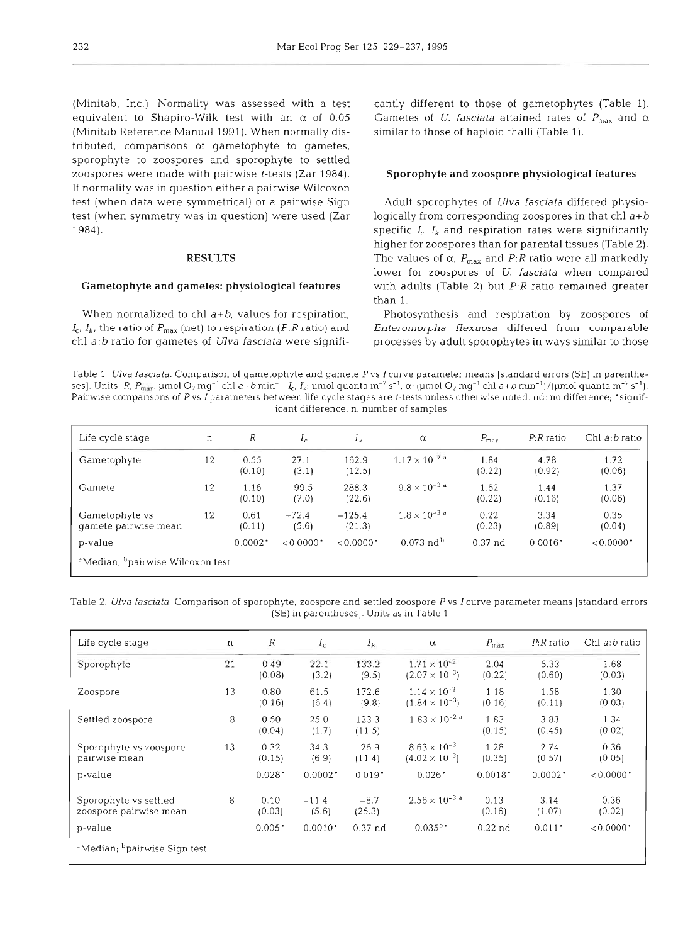(Minitab, Inc.). Normality was assessed with a test equivalent to Shapiro-Wilk test with an *a* of 0.05 (Minitab Reference Manual 1991). When normally distributed, comparisons of gametophyte to gametes, sporophyte to zoospores and sporophyte to settled zoospores were made with pairwise t-tests (Zar 1984). If normality was in question either a pairwise Wilcoxon test (when data were symmetrical) or a pairwise Sign test (when symmetry was in question) were used (Zar 1984).

#### **RESULTS**

#### **Gametophyte and gametes: physiological features**

When normalized to chl  $a+b$ , values for respiration,  $I_{c}$ ,  $I_{k}$ , the ratio of  $P_{\text{max}}$  (net) to respiration (P:R ratio) and chl a:b ratio for gametes of Ulva fasciata were significantly different to those of gametophytes (Table 1). Gametes of U. *fasciata* attained rates of  $P_{\text{max}}$  and  $\alpha$ similar to those of haploid thalli (Table 1).

#### **Sporophyte and zoospore physiological features**

Adult sporophytes of *Ulva fasciata* differed physio-<br>logically from corresponding zoospores in that chl  $a+b$ <br>specific  $I_c$ ,  $I_k$  and respiration rates were significantly<br>higher for zoospores than for parental tissues (Ta

Table 1 *Ulva fasciata*. Comparison of gametophyte and gamete P vs I curve parameter means [standard errors (SE) in parentheses]. Units: R,  $P_{\text{max}}$ :  $\mu$ mol O<sub>2</sub> mg<sup>-1</sup> chl a+b min<sup>-1</sup>; *I<sub>t</sub>*, *I<sub>k</sub>*:  $\mu$ mol quanta m<sup>-2</sup> s<sup>-1</sup>;  $\alpha$ :  $(\mu$ mol O<sub>2</sub> mg<sup>-1</sup> chl a+b min<sup>-1</sup>)/( $\mu$ mol quanta m<sup>-2</sup> s<sup>-1</sup>). Pairwise comparisons of P vs I parameters between life cycle stages are t-tests unless otherwise noted. nd: no difference, 'signifcant difference. n: number of samples

| Life cycle stage                                         | n  | R                     | $I_{\rm c}$            | $I_k$                   | $\alpha$                           | $P_{\text{max}}$ | $P:R$ ratio           | Chl $a:b$ ratio |
|----------------------------------------------------------|----|-----------------------|------------------------|-------------------------|------------------------------------|------------------|-----------------------|-----------------|
| Gametophyte                                              | 12 | 0.55<br>(0.10)        | 27.1<br>(3.1)          | 162.9<br>(12.5)         | $1.17 \times 10^{-2}$ <sup>a</sup> | 1.84<br>(0.22)   | 4.78<br>(0.92)        | 1.72<br>(0.06)  |
| Gamete                                                   | 12 | 1.16<br>(0.10)        | 99.5<br>(7.0)          | 288.3<br>(22.6)         | $9.8 \times 10^{-3}$ d             | 1.62<br>(0.22)   | 1.44<br>(0.16)        | 1.37<br>(0.06)  |
| Gametophyte vs<br>gamete pairwise mean                   | 12 | 0.61<br>(0.11)        | $-72.4$<br>(5.6)       | $-125.4$<br>(21.3)      | $1.8 \times 10^{-3}$ <sup>d</sup>  | 0.22<br>(0.23)   | 3.34<br>(0.89)        | 0.35<br>(0.04)  |
| p-value                                                  |    | $0.0002$ <sup>*</sup> | $<0.0000$ <sup>*</sup> | $< 0.0000$ <sup>*</sup> | $0.073$ nd <sup>b</sup>            | $0.37$ nd        | $0.0016$ <sup>*</sup> | < 0.0000        |
| <sup>a</sup> Median; <sup>b</sup> pairwise Wilcoxon test |    |                       |                        |                         |                                    |                  |                       |                 |

Table 2. Ulva fasciata. Comparison of sporophyte, zoospore and settled zoospore P vs I curve parameter means [standard errors (SE) in parentheses]. Units as in Table 1

| Life cycle stage                                     | $\mathbf n$ | $\boldsymbol{R}$     | $I_c$                 | $I_k$                | $\alpha$                                         | $P_{\text{max}}$      | $P:R$ ratio           | Chl <i>a</i> : <i>b</i> ratio |
|------------------------------------------------------|-------------|----------------------|-----------------------|----------------------|--------------------------------------------------|-----------------------|-----------------------|-------------------------------|
| Sporophyte                                           | 21          | 0.49<br>(0.08)       | 22.1<br>(3.2)         | 133.2<br>(9.5)       | $1.71 \times 10^{-2}$<br>$(2.07 \times 10^{-3})$ | 2.04<br>(0.22)        | 5.33<br>(0.60)        | 1.68<br>(0.03)                |
| Zoospore                                             | 13          | 0.80<br>(0.16)       | 61.5<br>(6.4)         | 172.6<br>(9.8)       | $1.14 \times 10^{-2}$<br>$(1.84 \times 10^{-3})$ | 1.18<br>(0.16)        | 1.58<br>(0.11)        | 1.30<br>(0.03)                |
| Settled zoospore                                     | 8           | 0.50<br>(0.04)       | 25.0<br>(1.7)         | 123.3<br>(11.5)      | $1.83 \times 10^{-2}$ <sup>a</sup>               | 1.83<br>(0.15)        | 3.83<br>(0.45)        | 1.34<br>(0.02)                |
| Sporophyte vs zoospore<br>pairwise mean              | 13          | 0.32<br>(0.15)       | $-34.3$<br>(6.9)      | $-26.9$<br>(11.4)    | $8.63 \times 10^{-3}$<br>$(4.02 \times 10^{-3})$ | 1.28<br>(0.35)        | 2.74<br>(0.57)        | 0.36<br>(0.05)                |
| p-value                                              |             | $0.028$ <sup>*</sup> | 0.0002                | $0.019$ <sup>*</sup> | 0.026                                            | $0.0018$ <sup>*</sup> | $0.0002$ <sup>*</sup> | < 0.0000                      |
| Sporophyte vs settled<br>zoospore pairwise mean      | 8           | 0.10<br>(0.03)       | $-11.4$<br>(5.6)      | $-8.7$<br>(25.3)     | $2.56 \times 10^{-3}$ <sup>d</sup>               | 0.13<br>(0.16)        | 3.14<br>(1.07)        | 0.36<br>(0.02)                |
| p-value                                              |             | $0.005$ <sup>*</sup> | $0.0010$ <sup>*</sup> | $0.37$ nd            | $0.035^{b}$                                      | $0.22$ nd             | $0.011$ <sup>*</sup>  | <0.0000                       |
| <sup>4</sup> Median; <sup>b</sup> pairwise Sign test |             |                      |                       |                      |                                                  |                       |                       |                               |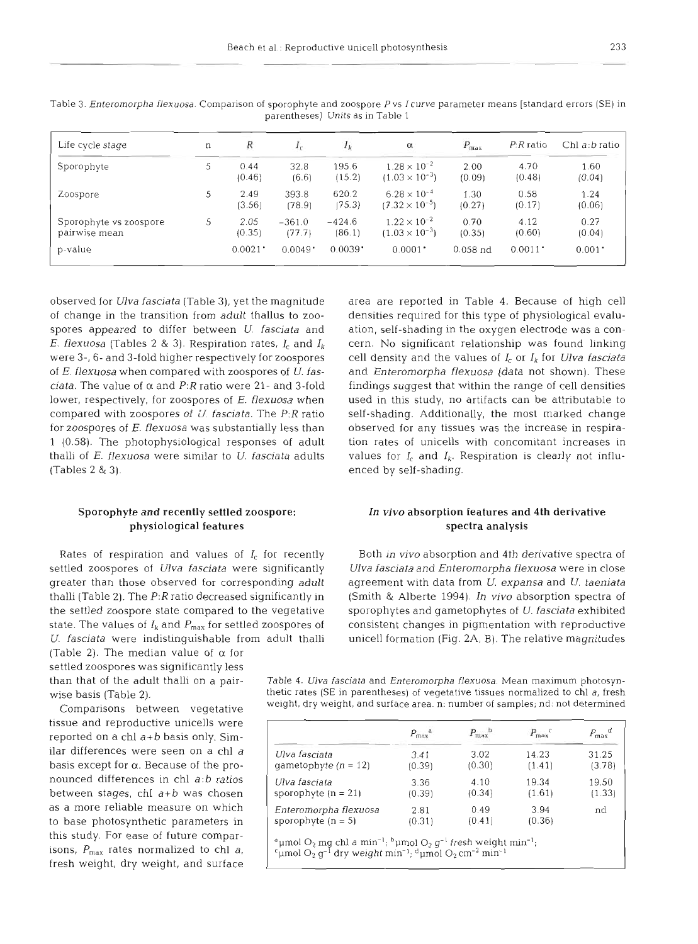| Life cycle stage                        | n | $\boldsymbol{R}$      | $I_{\rm C}$        | $I_k$                 | $\alpha$                                         | $P_{\text{max}}$ | $P:R$ ratio           | Chl $a:b$ ratio $\overline{a}$ |
|-----------------------------------------|---|-----------------------|--------------------|-----------------------|--------------------------------------------------|------------------|-----------------------|--------------------------------|
| Sporophyte                              | 5 | 0.44<br>(0.46)        | 32.8<br>(6.6)      | 195.6<br>(15.2)       | $1.28 \times 10^{-2}$<br>$(1.03 \times 10^{-3})$ | 2.00<br>(0.09)   | 4.70<br>(0.48)        | 1.60<br>(0.04)                 |
| Zoospore                                | 5 | 2.49<br>(3.56)        | 393.8<br>(78.9)    | 620.2<br>(75.3)       | $6.28 \times 10^{-4}$<br>$(7.32 \times 10^{-5})$ | 1.30<br>(0.27)   | 0.58<br>(0.17)        | 1.24<br>(0.06)                 |
| Sporophyte vs zoospore<br>pairwise mean | 5 | 2.05<br>(0.35)        | $-361.0$<br>(77.7) | $-424.6$<br>(86.1)    | $1.22 \times 10^{-2}$<br>$(1.03 \times 10^{-3})$ | 0.70<br>(0.35)   | 4.12<br>(0.60)        | 0.27<br>(0.04)                 |
| p-value                                 |   | $0.0021$ <sup>*</sup> | 0.0049             | $0.0039$ <sup>*</sup> | $0.0001$ <sup>*</sup>                            | $0.058$ nd       | $0.0011$ <sup>*</sup> | $0.001$ <sup>*</sup>           |

Table 3. Enteromorpha flexuosa. Comparison of sporophyte and zoospore P vs I curve parameter means [standard errors (SE) in parentheses]. Units as in Table 1

observed for *Ulva fasciata* (Table *3),* yet the magnitude of change in the transition from adult thallus to zoospores appeared to differ between U. *fasciata* and *E. flexuosa* (Tables 2 & 3). Respiration rates,  $I_c$  and  $I_k$ were **3-, 6-** and 3-fold higher respectively for zoospores of E. *flexuosa* when compared with zoospores of U. *fasciata.* The value of  $\alpha$  and P:R ratio were 21- and 3-fold lower, respectively, for zoospores of E. *flexuosa* when compared with zoospores of U. *fasciata.* The *P:R* ratio for zoospores of E. *flexuosa* was substantially less than 1 (0.58). The photophysiological responses of adult thalli of *E. flexuosa* were similar to U. *fasciata* adults (Tables *2* & 3).

### Sporophyte and recently settled zoospore: In **vivo** absorption features and **4th** derivative physiological features spectra analysis spectra analysis

Rates of respiration and values of *I<sub>c</sub>* for recently Both in vivo absorption and 4th derivative spectra of

(Table 2). The median value of  $\alpha$  for settled zoospores was significantly less

nounced differences in chl a:b ratios between stages, chl a+b was chosen tissue and reproductive unicells were reported on a chl *a+b* basis only. Similar differences were seen on a chl *a*  basis except for *a.* Because of the proas a more reliable measure on which to base photosynthetic parameters in this study. For ease of future comparisons,  $P_{\text{max}}$  rates normalized to chl a, fresh weight, dry weight, and surface

area are reported in Table 4. Because of high cell densities required for this type of physiological evaluation, self-shading in the oxygen electrode was a concern. No significant relationship was found linking cell density and the values of *I,* or Ik for *Ulva fasciata*  and *Enteromorpha flexuosa* (data not shown). These findings suggest that within the range of cell densities used in this study, no artifacts can be attributable to self-shading. Additionally, the most marked change observed for any tissues was the increase in respiration rates of unicells with concomitant increases in values for  $I_c$  and  $I_k$ . Respiration is clearly not influenced by self-shading.

settled zoospores of *Ulva fasciata* were significantly *Ulva fasciata* and *Enteromorpha flexuosa* were in close greater than those observed for corresponding adult agreement with data from U. *expansa* and *U. taeniata*  thalli (Table 2). The *P:R* ratio decreased significantly in (Smith & Alberte 1994). *In vivo* absorption spectra of the settled zoospore state compared to the vegetative sporophytes and gametophytes of U. *fasciata* exhibited state. The values of  $I_k$  and  $P_{max}$  for settled zoospores of consistent changes in pigmentation with reproductive *U. fasciata* were indistinguishable from adult thalli unicell formation (Fig. 2A, B). The relative magnitudes

than that of the adult thalli on a pair- Table 4. **Ulva** fasciata and Enteromorpha flexuosa. Mean maximum photosynwise basis (Table 2). thetic rates (SE in parentheses) of vegetative tissues normalized to chl a, fresh Comparisons between vegetative weight, dry weight, and surface area. n: number of samples; nd: not determined

|                        | $P_{\text{max}}^{\quad a}$ | $P_{\text{max}}$ | $P_{\text{max}}$ | $P_{\text{max}}^{\text{d}}$ |
|------------------------|----------------------------|------------------|------------------|-----------------------------|
| Ulva fasciata          | 3.41                       | 3.02             | 14.23            | 31.25                       |
| qametophyte $(n = 12)$ | (0.39)                     | (0.30)           | (1.41)           | (3.78)                      |
| Ulva fasciata          | 3.36                       | 4.10             | 19.34            | 19.50                       |
| sporophyte $(n = 21)$  | (0.39)                     | (0.34)           | (1.61)           | (1.33)                      |
| Enteromorpha flexuosa  | 2.81                       | 0.49             | 3.94             | nd                          |
| sporophyte $(n = 5)$   | (0.31)                     | (0.41)           | (0.36)           |                             |

<sup>d</sup>µmol  $O_2$  mg chl a min<sup>-1</sup>; <sup>b</sup>µmol  $O_2$  g<sup>-1</sup> fresh weight min<sup>-1</sup>;

 $\epsilon$ umol O<sub>2</sub> g<sup>-I</sup> dry weight min<sup>-1</sup>; <sup>d</sup>umol O<sub>2</sub> cm<sup>-2</sup> min<sup>-1</sup>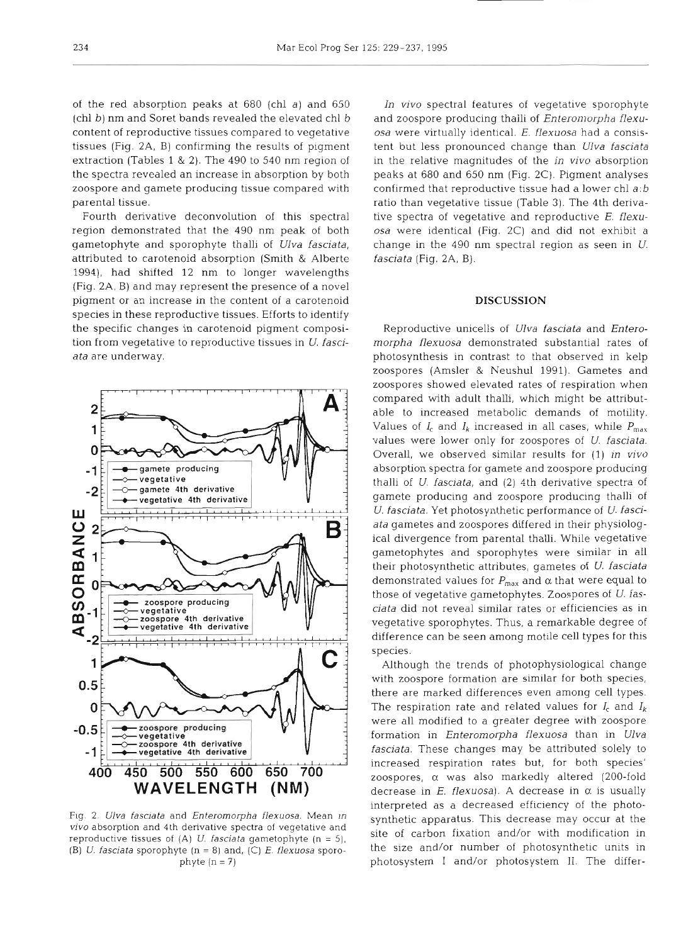of the red absorption peaks at 680 (chl *a)* and 650 (chl b) nm and Soret bands revealed the elevated chl b content of reproductive tissues compared to vegetative tissues (Fig. 2A, B) confirming the results of pigment extraction (Tables 1 & **2).** The 490 to 540 nm region of the spectra revealed an increase in absorption by both zoospore and gamete producing tissue compared with parental tissue.

Fourth derivative deconvolution of this spectral region demonstrated that the 490 nm peak of both gametophyte and sporophyte thalli of *Ulva fasciata,*  attributed to carotenoid absorption (Smith & Alberte 1994), had shifted **12** nm to longer wavelengths (Fig. **2A,** B) and may represent the presence of a novel pigment or an increase in the content of a carotenoid species in these reproductive tissues. Efforts to identify the specific changes in carotenoid pigment composition from vegetative to reproductive tissues in U. *fasci*ata are underway.



Flg. 2. *Ulva fasciata* and *Enteromorpha flexuosa.* Mean *In vivo* absorption and 4th derivative spectra *of* vegetative and reproductive tissues of (A) U. *fasciata* gametophyte (n = 51, (B) *U. fasciata* sporophyte (n = 8) and, (C) E. *flexuosa* sporophyte  $(n = 7)$ 

*In vivo* spectral features of vegetative sporophyte and zoospore producing thalli of *Enteromorpha flexuosa* were virtually identical. E. *flexuosa* had a consistent but less pronounced change than *Ulva fasciata*  in the relative magnitudes of the *in vivo* absorption peaks at 680 and 650 nm (Fig. **2C).** Pigment analyses confirmed that reproductive tissue had a lower chl *a:b*  ratio than vegetative tissue (Table 3). The 4th derivative spectra of vegetative and reproductive *E. flexuosa* were identical (Fig. 2C) and did not exhibit a change in the 490 nm spectral region as seen in *U. fascia fa* (Fig. 2A, *B).* 

#### **DISCUSSION**

Reproductive unicells of *Ulva fasciata* and *Enteromorpha flexuosa* demonstrated substantial rates of photosynthesis in contrast to that observed in kelp zoospores (Amsler & Neushul 1991). Gametes and zoospores showed elevated rates of respiration when compared with adult thalli, which might be attributable to increased metabolic demands of motility. Values of  $I_c$  and  $I_k$  increased in all cases, while  $P_{\text{max}}$ values were lower only for zoospores of *U. fasciata.*  Overall, we observed similar results for (1) in *vivo*  absorption spectra for gamete and zoospore producing thalli of U. fasciata, and (2) 4th derivative spectra of gamete producing and zoospore producing thalli of *U. fasciata.* Yet photosynthetic performance of *U. fasciata* gametes and zoospores differed in their physiological divergence from parental thalli. While vegetative gametophytes and sporophytes were similar in all their photosynthetic attributes, gametes of *U, fasciata*  demonstrated values for  $P_{\text{max}}$  and  $\alpha$  that were equal to those of vegetative gametophytes. Zoospores of *U. fasciata* did not reveal similar rates or efficiencies as in vegetative sporophytes. Thus, a remarkable degree of difference can be seen among motile cell types for this species.

Although the trends of photophysiological change with zoospore formation are similar for both species, there are marked differences even among cell types. The respiration rate and related values for  $I_c$  and  $I_k$ were all modified to a greater degree with zoospore formation in *Enteromorpha flexuosa* than in *Ulva fasciata.* These changes may be attributed solely to increased respiration rates but, for both species' zoospores, a was also markedly altered (200-fold decrease in *E. flexuosa*). A decrease in  $\alpha$  is usually interpreted as a decreased efficiency of the photosynthetic apparatus. This decrease may occur at the site of carbon fixation and/or with modification in the size and/or number of photosynthetic units in photosystem I and/or photosystem 11. The differ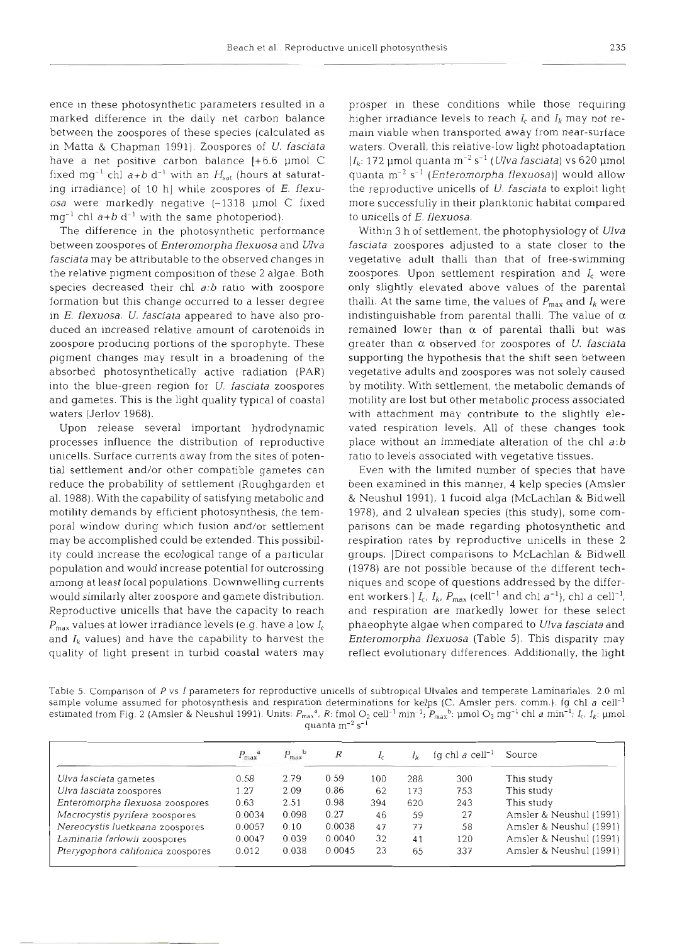ence in these photosynthetic parameters resulted in a marked difference in the daily net carbon balance between the zoospores of these species (calculated as in Matta & Chapman 1991). Zoospores of *U. fasciata*  have a net positive carbon balance [+6.6 µmol C fixed mg<sup>-1</sup> chl  $a+b$  d<sup>-1</sup> with an  $H_{\text{sat}}$  (hours at saturating irradiance) of 10 h] while zoospores of *E. flexuosa* were markedly negative (-1318 pm01 C fixed  $mg^{-1}$  chl  $a+b$  d<sup>-1</sup> with the same photoperiod).

The difference in the photosynthetic performance between zoospores of *Enteromorpha flexuosa* and *Ulva fasciata* may be attributable to the observed changes in the relative pigment composition of these 2 algae. Both species decreased their chl *a:b* ratio with zoospore formation but this change occurred to a lesser degree in *E. flexuosa. U. fasciata* appeared to have also produced an increased relative amount of carotenoids in zoospore producing portions of the sporophyte. These pigment changes may result in a broadening of the absorbed photosynthetically active radiation (PAR) into the blue-green region for *U. fasciata* zoospores and gametes. This is the light quality typical of coastal waters (Jerlov 1968).

Upon release several important hydrodynamic processes influence the distribution of reproductive unicells. Surface currents away from the sites of potential settlement and/or other compatible gametes can reduce the probability of settlement (Roughgarden et al. 1988). With the capability of satisfying metabolic and motility demands by efficient photosynthesis, the temporal window during which fusion and/or settlement may be accomplished could be extended. This possibility could increase the ecological range of a particular population and would increase potential for outcrossing among at least local populations. Downwelling currents would similarly alter zoospore and gamete distribution. Reproductive unicells that have the capacity to reach  $P_{\text{max}}$  values at lower irradiance levels (e.g. have a low  $I_c$ and  $I_k$  values) and have the capability to harvest the quality of light present in turbid coastal waters may

prosper in these conditions while those requiring higher irradiance levels to reach *I,* and *Ik* may not remain viable when transported away from near-surface waters. Overall, this relative-low light photoadaptation  $[I_k: 172 \text{ }\mu\text{mol} \text{ quanta m}^{-2} \text{ s}^{-1}$  *(Ulva fasciata)* vs 620  $\mu\text{mol}$ quanta m-2 S-' *(Enteromorpha flexuosa)]* would allow the reproductive unicells of U. *fasciata* to exploit light more successfully in their planktonic habitat compared to unicells of E. *flexuosa.* 

Within 3 h of settlement, the photophysiology of *Ulva fasclata* zoospores adjusted to a state closer to the vegetative adult thalli than that of free-swimming zoospores. Upon settlement respiration and *I,* were only slightly elevated above values of the parental thalli. At the same time, the values of  $P_{\text{max}}$  and  $I_k$  were indistinguishable from parental thalli. The value of **<sup>a</sup>** remained lower than  $\alpha$  of parental thalli but was greater than a observed for zoospores of U. *fasciata*  supporting the hypothesis that the shift seen between vegetative adults and zoospores was not solely caused by motility. With settlement, the metabolic demands of motility are lost but other metabolic process associated with attachment may contribute to the slightly elevated respiration levels. All of these changes took place without an immediate alteration of the chl *a:b*  ratio to levels associated with vegetative tissues.

Even with the limited number of species that have been examined in this manner, 4 kelp species (Amsler & Neushul 1991), 1 fucoid alga (McLachlan & Bidwell 1978), and 2 ulvalean species (this study), some comparisons can be made regarding photosynthetic and respiration rates by reproductive unicells in these 2 groups. [Direct comparisons to McLachlan & Bidwell (1978) are not possible because of the different techniques and scope of questions addressed by the different workers.]  $I_c$ ,  $I_k$ ,  $P_{\text{max}}$  (cell<sup>-1</sup> and chl  $a^{-1}$ ), chl  $a$  cell<sup>-1</sup>, and respiration are markedly lower for these select phaeophyte algae when compared to *Ulva fasciata* and *Enteromorpha flexuosa* (Table *5).* This disparity may reflect evolutionary differences. Additionally, the light

Table 5. Comparison of P vs I parameters for reproductive unicells of subtropical Ulvales and temperate Laminariales. 2.0 m1 sample volume assumed for photosynthesis and respiration determinations for kelps (C. Amsler pers. comm.). Ig chl a cell<sup>-1</sup> estimated from Fig. 2 (Amsler & Neushul 1991). Units:  $P_{\text{max}}^{\alpha}$ , R: fmol O<sub>2</sub> cell<sup>-1</sup> min<sup>-1</sup>;  $P_{\text{max}}^{\alpha}$ : µmol O<sub>2</sub> mg<sup>-1</sup> chl a min<sup>-1</sup>;  $I_c$ ,  $I_k$ : µmol quanta  $m^{-2}$  s<sup>-1</sup>

|                                   | $P_{\text{max}}^{\text{d}}$ | $P_{\text{max}}^{\text{D}}$ | R      |     |     | fg chl a cell <sup>-1</sup> | Source                  |
|-----------------------------------|-----------------------------|-----------------------------|--------|-----|-----|-----------------------------|-------------------------|
| Ulva fasciata gametes             | 0.58                        | 2.79                        | 0.59   | 100 | 288 | 300                         | This study              |
| Ulva fasciata zoospores           | 1.27                        | 2.09                        | 0.86   | 62  | 173 | 753                         | This study              |
| Enteromorpha flexuosa zoospores   | 0.63                        | 2.51                        | 0.98   | 394 | 620 | 243                         | This study              |
| Macrocystis pyrifera zoospores    | 0.0034                      | 0.098                       | 0.27   | 46  | 59  | 27                          | Amsler & Neushul (1991) |
| Nereocystis luetkeana zoospores   | 0.0057                      | 0.10                        | 0.0038 | 47  | 77  | 58                          | Amsler & Neushul (1991) |
| Laminaria farlowii zoospores      | 0.0047                      | 0.039                       | 0.0040 | 32  | 41  | 120                         | Amsler & Neushul (1991) |
| Pterygophora califonica zoospores | 0.012                       | 0.038                       | 0.0045 | 23  | 65  | 337                         | Amsler & Neushul (1991) |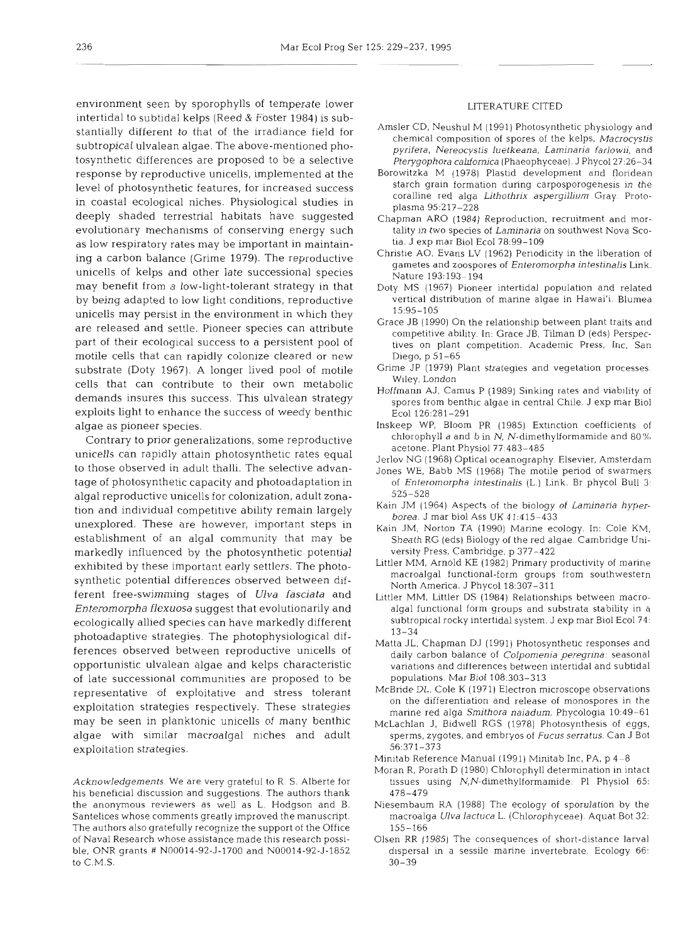environment seen by sporophylls of temperate lower intertidal to subtidal kelps (Reed & Foster 1984) is substantially different to that of the irradiance field for subtropical ulvalean algae. The above-mentioned photosynthetic differences are proposed to be a selective response by reproductive unicells, implemented at the level of photosynthetic features, for increased success in coastal ecological niches. Physiological studies in deeply shaded terrestrial habitats have suggested evolutionary mechanisms of conserving energy such as low respiratory rates may be important in maintaining a carbon balance (Grime 1979). The reproductive unicells of kelps and other late successional species may benefit from a low-light-tolerant strategy in that by being adapted to low light conditions, reproductive unicells may persist in the environment in which they are released and settle. Pioneer species can attribute part of their ecological success to a persistent pool of motile cells that can rapidly colonize cleared or new substrate (Doty 1967). A longer lived pool of motile cells that can contribute to their own metabolic demands insures this success. This ulvalean strategy exploits light to enhance the success of weedy benthic algae as pioneer species.

Contrary to prior generalizations, some reproductive unicells can rapidly attain photosynthetic rates equal to those observed in adult thalli. The selective advantage of photosynthetic capacity and photoadaptation in algal reproductive unicells for colonization, adult zonation and individual competitive ability remain largely unexplored. These are however, important steps in establishment of an algal community that may be markedly influenced by the photosynthetic potential exhibited by these important early settlers. The photosynthetic potential differences observed between different free-swimming stages of *Ulva fasciata* and *Enteromorpha flexuosa* suggest that evolutionarily and ecologically allied species can have markedly different photoadaptive strategies. The photophysiological differences observed between reproductive unicells of opportunistic ulvalean algae and kelps characteristic of late successional communities are proposed to be representative of exploitative and stress tolerant exploitation strategies respectively. These strategies may be seen in planktonic unicells of many benthic algae with similar macroalgal niches and adult exploitation strategies.

Acknowledgements. We are very grateful to R. S. Alberte for his beneficial discussion and suggestions. The authors thank the anonymous reviewers as well as L. Hodgson and B. Santelices whose comments greatly improved the manuscript. The authors also gratefully recognize the support of the Office of Naval Research whose assistance made this research possible, ONR grants # N00014-92-5-1700 and N00014-92-5-1852 to C.M.S.

#### LITERATURE CITED

- Amsler CD, Neushul M (1991) Photosynthetic physiology and chemical composition of spores of the kelps, Macrocystis pyrifera, Nereocystis luetkeana, Laminaria farlowii, and Pterygophora californica (Phaeophyceae). J Phycol 27:26-34
- Borowitzka M (1978) Plastid development and floridean starch grain formation during carposporogenesis in the coralline red alga Lithothrix aspergillium Gray. Protoplasma 95:217-228
- Chapman ARO (1984) Reproduction, recruitment and mortality in two species of Laminaria on southwest Nova Scotia. J exp mar Biol Ecol 78:99-l09
- Christie AO, Evans LV (1962) Periodicity in the liberation of gametes and zoospores of Enteromorpha intestinalis Link. Nature 193:193-194
- Doty MS (1967) Pioneer intertidal population and related vertical distribution of manne algae in Hawai'i. Blumea 15:95-105
- Grace JB (1990) On the relationship between plant traits and competitive ability. In: Grace JB, Tilman D (eds) Perspectives on plant competition. Academic Press, Inc, San Diego, p 51-65
- Grime JP (1979) Plant strategies and vegetation processes Wiley, London
- Hoffmann AJ, Camus P (1989) Sinking rates and viability of spores from benthic algae in central Chile. J exp mar Biol Ecol 126:281-291
- Inskeep WP, Bloom PR (1985) Extinction coefficients of chlorophyll a and b in N, N-dimethylformamide and  $80\%$ acetone. Plant Physiol 77:483-485
- Jerlov NG (1968) Optical oceanography. Elsevier, Amsterdam
- Jones WE, Babb MS (1968) The motile period of swarmers of Enteromorpha intestinalis (L.) Link. Br phycol Bull 3: 525-528
- Kain JM (1964) Aspects of the biology of Laminaria hyperborea. J mar biol Ass UK 41:415-433
- Kain JM, Norton TA (1990) Marine ecology. In: Cole KM, Sheath RG (eds) Biology of the red algae. Cambridge University Press. Cambridge, p 377-422
- Littler MM, Arnold KE (1982) Primary productivity of marine macroalgal functional-form groups from southwestern North America. J Phycol 18:307-311
- Littler MM, Littler DS (1984) Relationships between macroalgal functional form groups and substrata stability in a subtropical rocky intertidal system. J exp mar Biol Ecol74: 13-34
- Matta JL, Chapman DJ (1991) Photosynthetic responses and daily carbon balance of Colpomenia peregrina: seasonal variations and differences between intertidal and subtidal populations. Mar Biol 108:303-313
- McBride DL, Cole K (1971) Electron microscope observations on the differentiation and release of monospores in the marine red alga Smithora naiadum. Phycologia 10:49-61
- McLachlan J, Bldwell RGS (1978) Photosynthesis of eggs, sperms, zygotes, and embryos of Fucus serratus. Can J Bot 56:371-373
- Minitab Reference Manual (1991) Minitab Inc, PA, p 4-8
- Moran R, Porath D (1980) Chlorophyll determination in intact tissues using  $N$ ,  $N$ -dimethylformamide. Pl Physiol 65: 478-479
- Niesembaum RA (1988) The ecology of sporulation by the macroalga Ulva lactuca L. (Chlorophyceae). Aquat Bot 32: 155-166
- Olsen RR (1985) The consequences of short-distance larval dispersal in a sessile marine invertebrate Ecology 66: 30-39